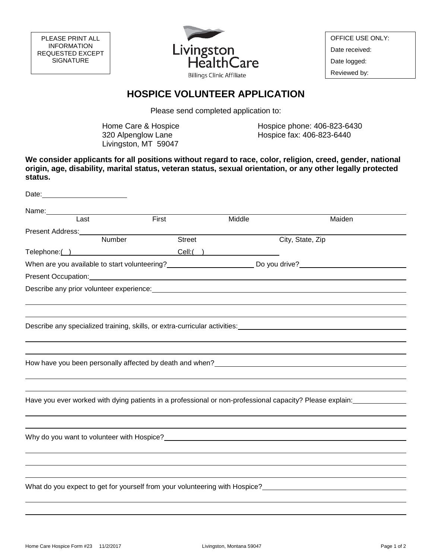

OFFICE USE ONLY: Date received: Date logged: Reviewed by:

## **HOSPICE VOLUNTEER APPLICATION**

Please send completed application to:

Home Care & Hospice 320 Alpenglow Lane Livingston, MT 59047

Hospice phone: 406-823-6430 Hospice fax: 406-823-6440

**We consider applicants for all positions without regard to race, color, religion, creed, gender, national origin, age, disability, marital status, veteran status, sexual orientation, or any other legally protected status.** 

| Name:<br>$\overline{\text{Last}}$<br>First<br>Middle<br>Maiden                                                                                                                                                                 |  |
|--------------------------------------------------------------------------------------------------------------------------------------------------------------------------------------------------------------------------------|--|
|                                                                                                                                                                                                                                |  |
|                                                                                                                                                                                                                                |  |
| Present Address:<br>Number<br>Street<br>City, State, Zip                                                                                                                                                                       |  |
| Telephone: ( ) Cell: ( )                                                                                                                                                                                                       |  |
|                                                                                                                                                                                                                                |  |
|                                                                                                                                                                                                                                |  |
|                                                                                                                                                                                                                                |  |
| Describe any prior volunteer experience: example and a series of the state of the state of the state of the state of the state of the state of the state of the state of the state of the state of the state of the state of t |  |
|                                                                                                                                                                                                                                |  |
| Describe any specialized training, skills, or extra-curricular activities: Describe any specialized training, skills, or extra-curricular activities:                                                                          |  |
|                                                                                                                                                                                                                                |  |
|                                                                                                                                                                                                                                |  |
| How have you been personally affected by death and when? The manufacturer and the manufacturer of the manufacturer                                                                                                             |  |
|                                                                                                                                                                                                                                |  |
|                                                                                                                                                                                                                                |  |
| Have you ever worked with dying patients in a professional or non-professional capacity? Please explain:                                                                                                                       |  |
|                                                                                                                                                                                                                                |  |
|                                                                                                                                                                                                                                |  |
|                                                                                                                                                                                                                                |  |
|                                                                                                                                                                                                                                |  |
|                                                                                                                                                                                                                                |  |
|                                                                                                                                                                                                                                |  |
| What do you expect to get for yourself from your volunteering with Hospice?                                                                                                                                                    |  |
|                                                                                                                                                                                                                                |  |